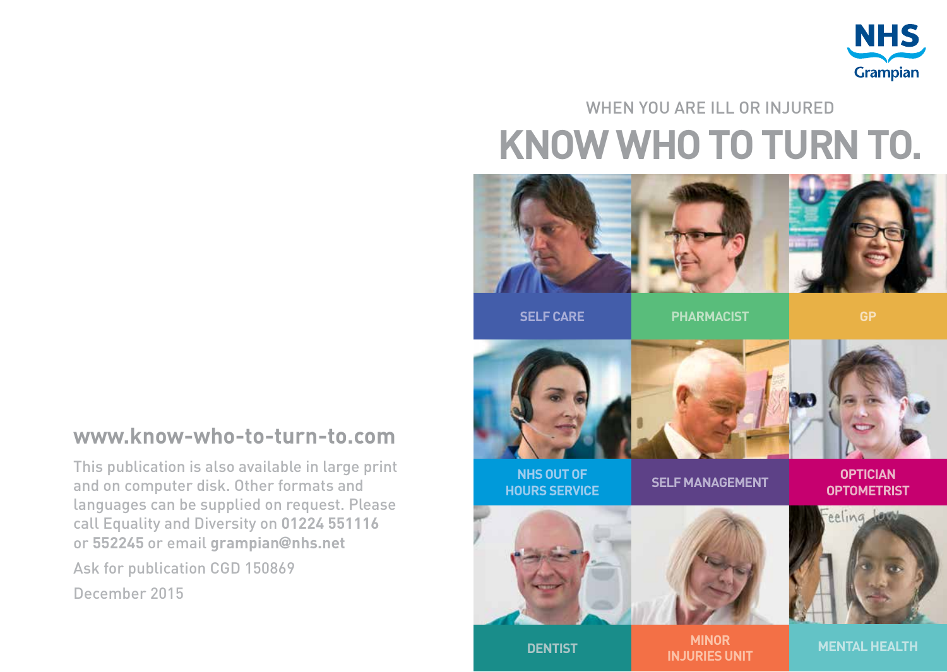

#### **KNOW WHO TO TURN TO.** WHEN YOU ARE ILL OR INJURED



**SELF CARE**

**PHARMACIST**

**GP**

#### **www.know-who-to-turn-to.com**

This publication is also available in large print and on computer disk. Other formats and languages can be supplied on request. Please call Equality and Diversity on **01224 551116** or **552245** or email **grampian**@**nhs.net** Ask for publication CGD 150869 December 2015



**NHS OUT OF HOURS SERVICE**

**SELF MANAGEMENT**

**OPTICIAN OPTOMETRIST**







**DENTIST MINOR INJURIES UNIT**

**MENTAL HEALTH**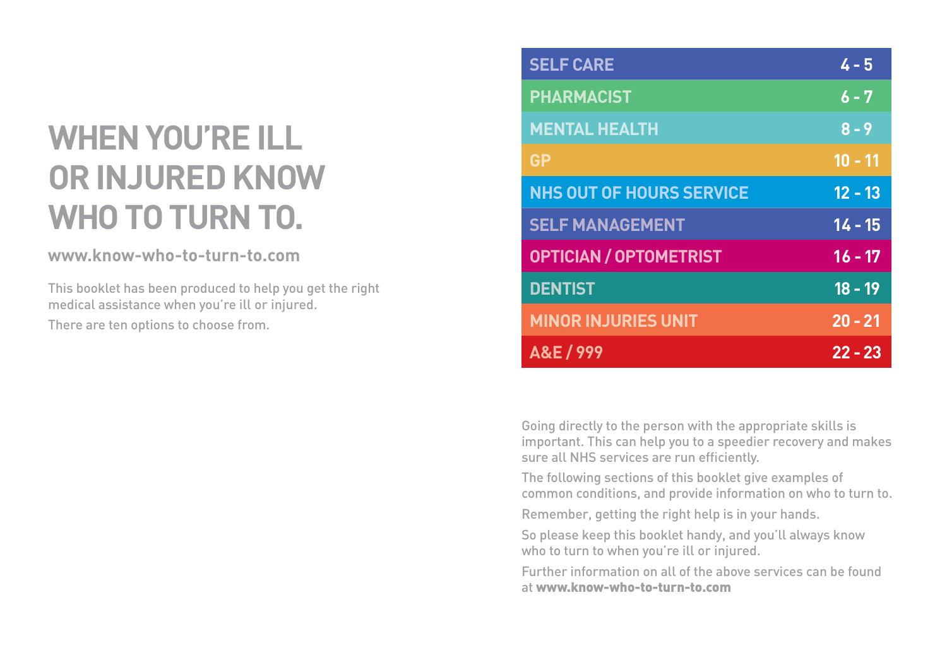#### **WHEN YOU'RE ILL OR INJURED KNOW WHO TO TURN TO.**

#### **www.know-who-to-turn-to.com**

This booklet has been produced to help you get the right medical assistance when you're ill or injured. There are ten options to choose from.

| <b>SELF CARE</b>                | $4 - 5$   |
|---------------------------------|-----------|
| <b>PHARMACIST</b>               | $6 - 7$   |
| <b>MENTAL HEALTH</b>            | $8 - 9$   |
| <b>GP</b>                       | $10 - 11$ |
| <b>NHS OUT OF HOURS SERVICE</b> | $12 - 13$ |
| <b>SELF MANAGEMENT</b>          | $14 - 15$ |
| <b>OPTICIAN / OPTOMETRIST</b>   | $16 - 17$ |
| <b>DENTIST</b>                  | $18 - 19$ |
| <b>MINOR INJURIES UNIT</b>      | $20 - 21$ |
| A&E / 999                       | $22 - 23$ |

Going directly to the person with the appropriate skills is important. This can help you to a speedier recovery and makes sure all NHS services are run efficiently.

The following sections of this booklet give examples of common conditions, and provide information on who to turn to.

Remember, getting the right help is in your hands.

So please keep this booklet handy, and you'll always know who to turn to when you're ill or injured.

Further information on all of the above services can be found at www.know-who-to-turn-to.com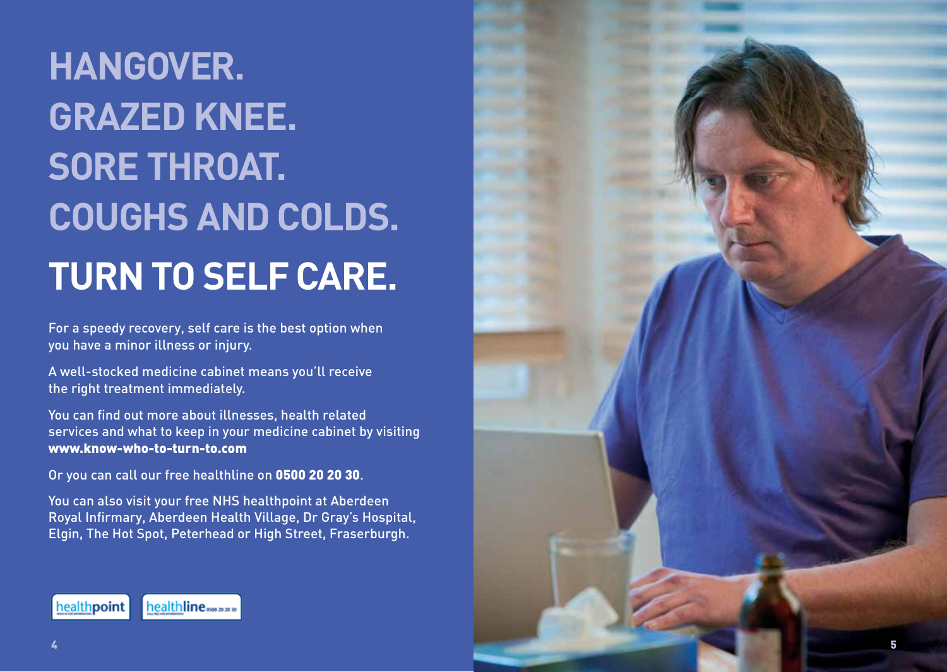# **HANGOVER. GRAZED KNEE. SORE THROAT. COUGHS AND COLDS. TURN TO SELF CARE.**

For a speedy recovery, self care is the best option when you have a minor illness or injury.

A well-stocked medicine cabinet means you'll receive the right treatment immediately.

You can find out more about illnesses, health related services and what to keep in your medicine cabinet by visiting www.know-who-to-turn-to.com

Or you can call our free healthline on 0500 20 20 30.

You can also visit your free NHS healthpoint at Aberdeen Royal Infirmary, Aberdeen Health Village, Dr Gray's Hospital, Elgin, The Hot Spot, Peterhead or High Street, Fraserburgh.



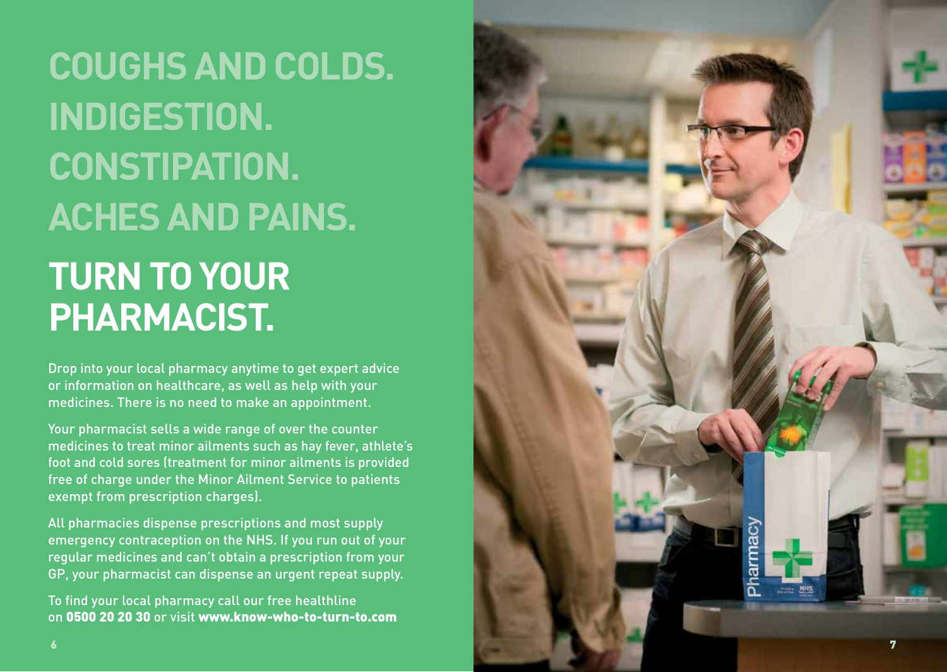**COUGHS AND COLDS. INDIGESTION. CONSTIPATION. ACHES AND PAINS. TURN TO YOUR PHARMACIST.**

Drop into your local pharmacy anytime to get expert advice or information on healthcare, as well as help with your medicines. There is no need to make an appointment.

Your pharmacist sells a wide range of over the counter medicines to treat minor ailments such as hay fever, athlete's foot and cold sores (treatment for minor ailments is provided free of charge under the Minor Ailment Service to patients exempt from prescription charges).

All pharmacies dispense prescriptions and most supply emergency contraception on the NHS. If you run out of your regular medicines and can't obtain a prescription from your GP, your pharmacist can dispense an urgent repeat supply.

To find your local pharmacy call our free healthline on 0500 20 20 30 or visit www.know-who-to-turn-to.com

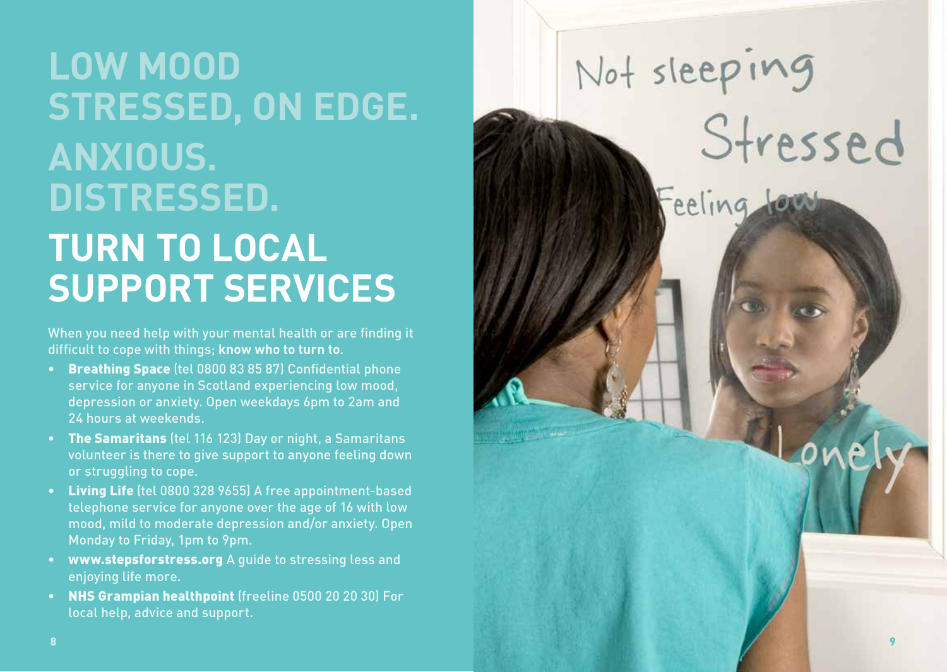# **LOW MOOD STRESSED, ON EDGE. ANXIOUS. DISTRESSED. TURN TO LOCAL SUPPORT SERVICES**

When you need help with your mental health or are finding it difficult to cope with things; **know who to turn to** .

- Breathing Space (tel 0800 83 85 87) Confidential phone service for anyone in Scotland experiencing low mood, depression or anxiety. Open weekdays 6pm to 2am and 24 hours at weekends.
- The Samaritans (tel 116 123) Day or night, a Samaritans volunteer is there to give support to anyone feeling down or struggling to cope.
- Living Life (tel 0800 328 9655) A free appointment-based telephone service for anyone over the age of 16 with low mood, mild to moderate depression and/or anxiety. Open Monday to Friday, 1pm to 9pm.
- www.stepsforstress.org A guide to stressing less and enjoying life more.
- NHS Grampian healthpoint (freeline 0500 20 20 30) For local help, advice and support.

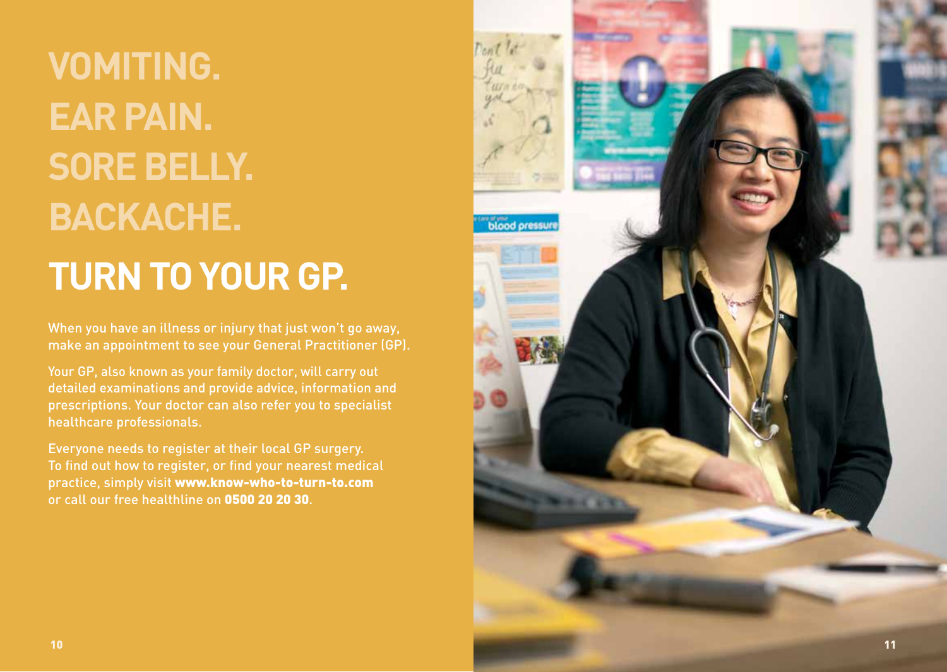**VOMITING. EAR PAIN. SORE BELLY. BACKACHE. TURN TO YOUR GP.**

When you have an illness or injury that just won't go away, make an appointment to see your General Practitioner (GP).

Your GP, also known as your family doctor, will carry out detailed examinations and provide advice, information and prescriptions. Your doctor can also refer you to specialist healthcare professionals.

Everyone needs to register at their local GP surgery. To find out how to register, or find your nearest medical practice, simply visit www.know-who-to-turn-to.com or call our free healthline on 0500 20 20 30 .

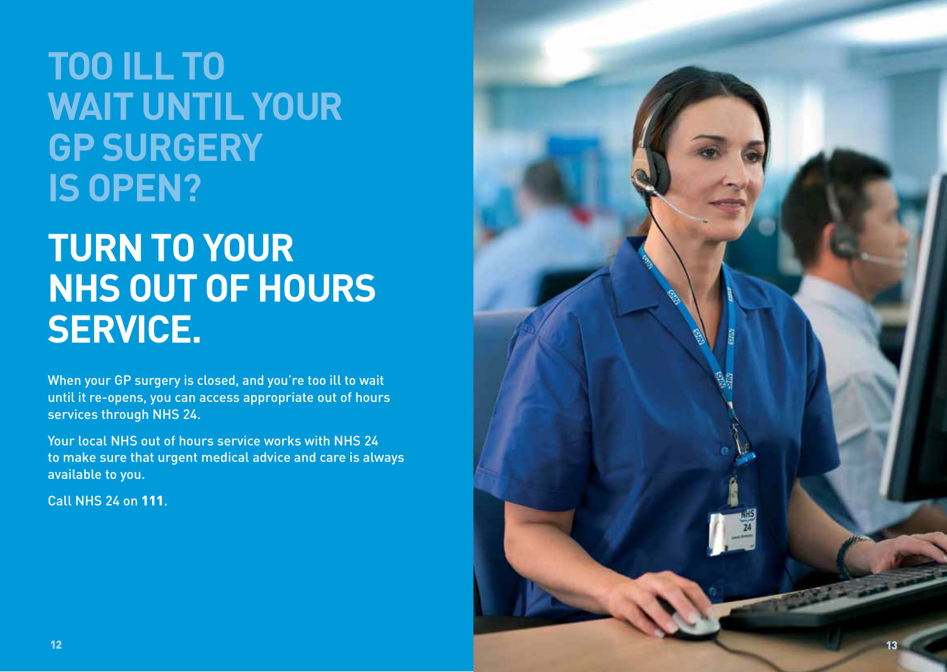#### **TOO ILL TO WAIT UNTIL YOUR GP SURGERY IS OPEN?**

### **TURN TO YOUR NHS OUT OF HOURS SERVICE.**

When your GP surgery is closed, and you're too ill to wait until it re-opens, you can access appropriate out of hours services through NHS 24.

Your local NHS out of hours service works with NHS 24 to make sure that urgent medical advice and care is always available to you.

Call NHS 24 on 111 .

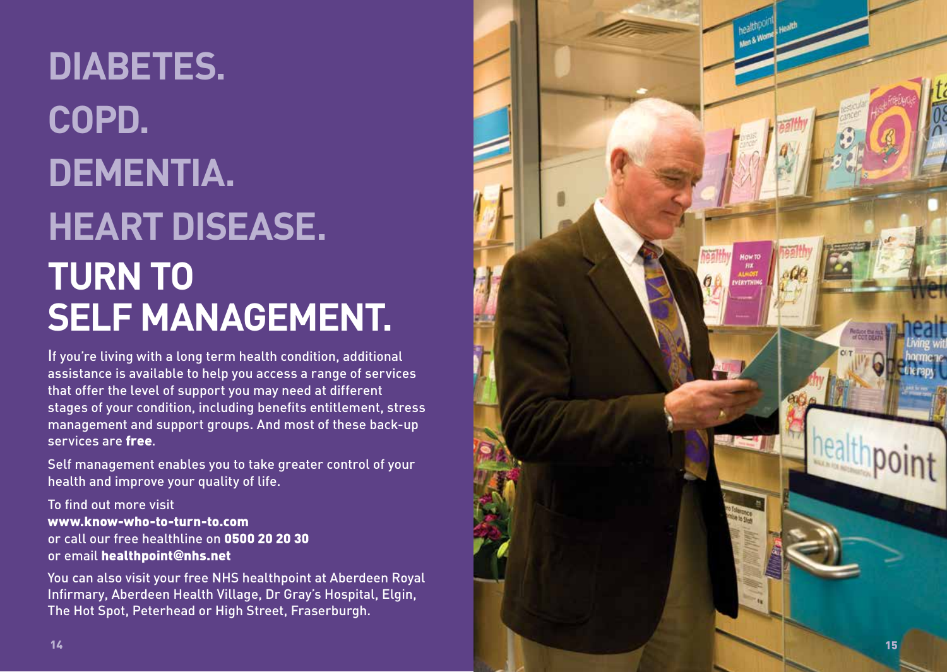# **DIABETES. COPD. DEMENTIA. HEART DISEASE. TURN TO SELF MANAGEMENT.**

If you're living with a long term health condition, additional assistance is available to help you access a range of services that offer the level of support you may need at different stages of your condition, including benefits entitlement, stress management and support groups. And most of these back-up services are free.

Self management enables you to take greater control of your health and improve your quality of life.

To find out more visit www.know-who-to-turn-to.com or call our free healthline on 0500 20 20 30 or email healthpoint **@**nhs.net

You can also visit your free NHS healthpoint at Aberdeen Royal Infirmary, Aberdeen Health Village, Dr Gray's Hospital, Elgin, The Hot Spot, Peterhead or High Street, Fraserburgh.

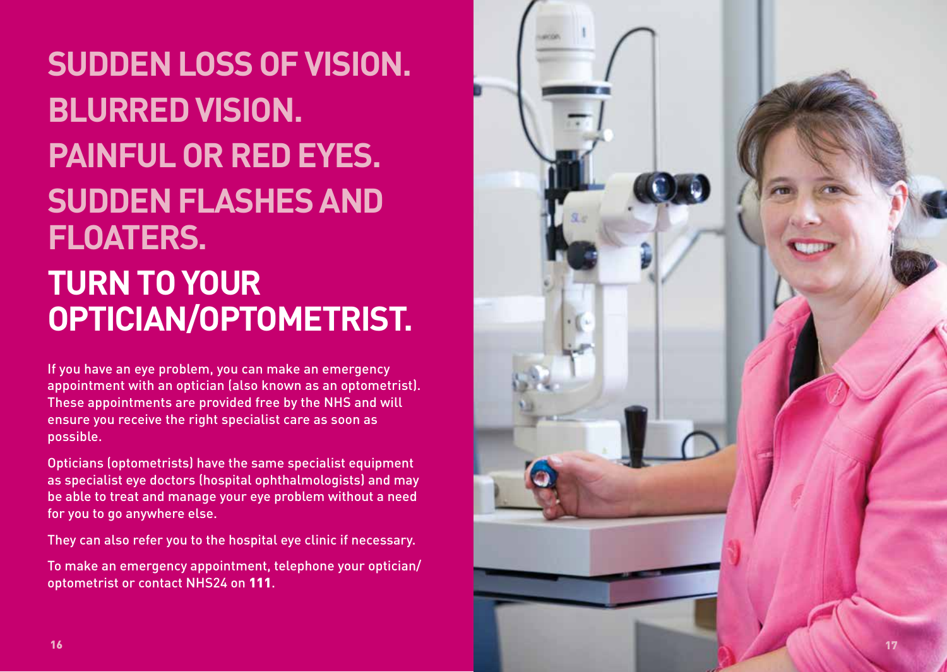### **SUDDEN LOSS OF VISION. BLURRED VISION. PAINFUL OR RED EYES. SUDDEN FLASHES AND FLOATERS. TURN TO YOUR OPTICIAN/OPTOMETRIST.**

If you have an eye problem, you can make an emergency appointment with an optician (also known as an optometrist). These appointments are provided free by the NHS and will ensure you receive the right specialist care as soon as possible.

Opticians (optometrists) have the same specialist equipment as specialist eye doctors (hospital ophthalmologists) and may be able to treat and manage your eye problem without a need for you to go anywhere else.

They can also refer you to the hospital eye clinic if necessary.

To make an emergency appointment, telephone your optician/ optometrist or contact NHS24 on 111.

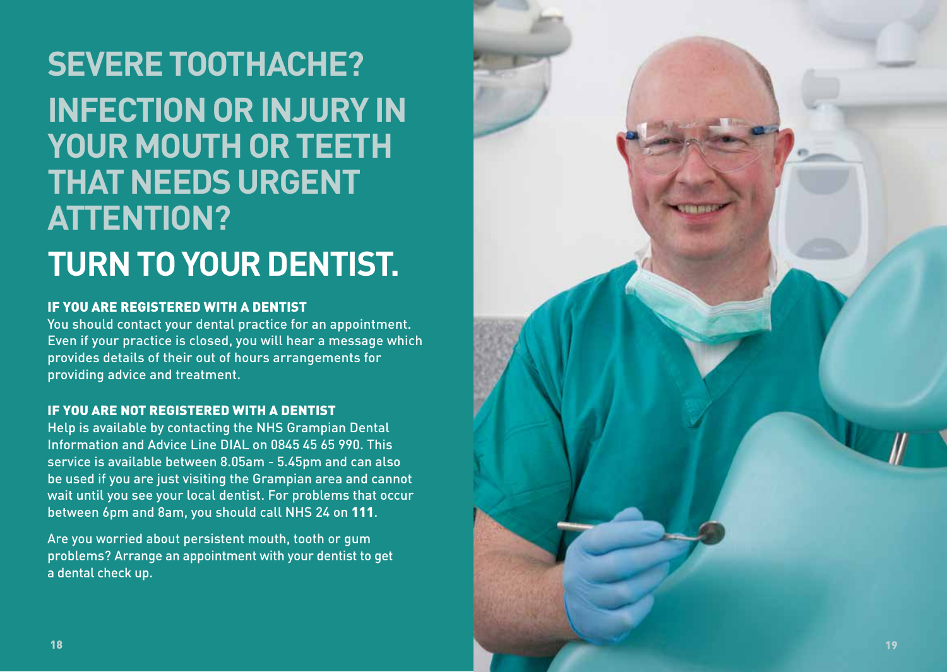#### **SEVERE TOOTHACHE? INFECTION OR INJURY IN YOUR MOUTH OR TEETH THAT NEEDS URGENT ATTENTION? TURN TO YOUR DENTIST.**

#### IF YOU ARE REGISTERED WITH A DENTIST

You should contact your dental practice for an appointment. Even if your practice is closed, you will hear a message which provides details of their out of hours arrangements for providing advice and treatment.

#### IF YOU ARE NOT REGISTERED WITH A DENTIST

Help is available by contacting the NHS Grampian Dental Information and Advice Line DIAL on 0845 45 65 990. This service is available between 8.05am - 5.45pm and can also be used if you are just visiting the Grampian area and cannot wait until you see your local dentist. For problems that occur between 6pm and 8am, you should call NHS 24 on 111.

Are you worried about persistent mouth, tooth or gum problems? Arrange an appointment with your dentist to get a dental check up.

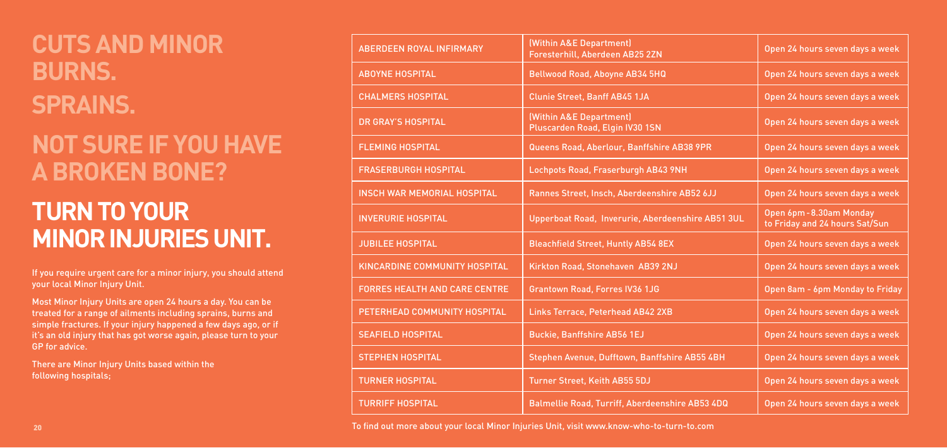# **CUTS AND MINOR BURNS. SPRAINS.**

### **NOT SURE IF YOU HAVE A BROKEN BONE?**

## **TURN TO YOUR MINOR INJURIES UNIT.**

If you require urgent care for a minor injury, you should attend your local Minor Injury Unit.

Most Minor Injury Units are open 24 hours a day. You can be treated for a range of ailments including sprains, burns and simple fractures. If your injury happened a few days ago, or if it's an old injury that has got worse again, please turn to your GP for advice.

There are Minor Injury Units based within the following hospitals;

| (Within A&E Department)<br>Foresterhill, Aberdeen AB25 2ZN | Open 24 hours seven days a week                            |
|------------------------------------------------------------|------------------------------------------------------------|
| Bellwood Road, Aboyne AB34 5HQ                             | Open 24 hours seven days a week                            |
| <b>Clunie Street, Banff AB45 1JA</b>                       | Open 24 hours seven days a week                            |
| (Within A&E Department)<br>Pluscarden Road, Elgin IV30 1SN | Open 24 hours seven days a week                            |
| Queens Road, Aberlour, Banffshire AB38 9PR                 | Open 24 hours seven days a week                            |
| Lochpots Road, Fraserburgh AB43 9NH                        | Open 24 hours seven days a week                            |
| Rannes Street, Insch, Aberdeenshire AB52 6JJ               | Open 24 hours seven days a week                            |
| Upperboat Road, Inverurie, Aberdeenshire AB51 3UL          | Open 6pm - 8.30am Monday<br>to Friday and 24 hours Sat/Sun |
| <b>Bleachfield Street, Huntly AB54 8EX</b>                 | Open 24 hours seven days a week                            |
| Kirkton Road, Stonehaven AB39 2NJ                          | Open 24 hours seven days a week                            |
| <b>Grantown Road, Forres IV36 1JG</b>                      | Open 8am - 6pm Monday to Friday                            |
| Links Terrace, Peterhead AB42 2XB                          | Open 24 hours seven days a week                            |
| <b>Buckie, Banffshire AB56 1EJ</b>                         | Open 24 hours seven days a week                            |
| Stephen Avenue, Dufftown, Banffshire AB55 4BH              | Open 24 hours seven days a week                            |
| Turner Street, Keith AB55 5DJ                              | Open 24 hours seven days a week                            |
| Balmellie Road, Turriff, Aberdeenshire AB53 4DQ            | Open 24 hours seven days a week                            |
|                                                            |                                                            |

| <b>ABERDEEN ROYAL INFIRMARY</b>      | (Within A&E Department)<br>Foresterhill, Aberdeen AB25 2ZN | Open 24 hours seven days a week                          |
|--------------------------------------|------------------------------------------------------------|----------------------------------------------------------|
| <b>ABOYNE HOSPITAL</b>               | Bellwood Road, Aboyne AB34 5HQ                             | Open 24 hours seven days a week                          |
| <b>CHALMERS HOSPITAL</b>             | <b>Clunie Street, Banff AB45 1JA</b>                       | Open 24 hours seven days a week                          |
| <b>DR GRAY'S HOSPITAL</b>            | (Within A&E Department)<br>Pluscarden Road, Elgin IV30 1SN | Open 24 hours seven days a week                          |
| <b>FLEMING HOSPITAL</b>              | Queens Road, Aberlour, Banffshire AB38 9PR                 | Open 24 hours seven days a week                          |
| <b>FRASERBURGH HOSPITAL</b>          | Lochpots Road, Fraserburgh AB43 9NH                        | Open 24 hours seven days a week                          |
| <b>INSCH WAR MEMORIAL HOSPITAL</b>   | Rannes Street, Insch, Aberdeenshire AB52 6JJ               | Open 24 hours seven days a week                          |
| <b>INVERURIE HOSPITAL</b>            | Upperboat Road, Inverurie, Aberdeenshire AB51 3UL          | Open 6pm-8.30am Monday<br>to Friday and 24 hours Sat/Sun |
| <b>JUBILEE HOSPITAL</b>              | <b>Bleachfield Street, Huntly AB54 8EX</b>                 | Open 24 hours seven days a week                          |
| KINCARDINE COMMUNITY HOSPITAL        | Kirkton Road, Stonehaven AB39 2NJ                          | Open 24 hours seven days a week                          |
| <b>FORRES HEALTH AND CARE CENTRE</b> | <b>Grantown Road, Forres IV36 1JG</b>                      | Open 8am - 6pm Monday to Friday                          |
| PETERHEAD COMMUNITY HOSPITAL         | Links Terrace, Peterhead AB42 2XB                          | Open 24 hours seven days a week                          |
| <b>SEAFIELD HOSPITAL</b>             | <b>Buckie, Banffshire AB56 1EJ</b>                         | Open 24 hours seven days a week                          |
| <b>STEPHEN HOSPITAL</b>              | Stephen Avenue, Dufftown, Banffshire AB55 4BH              | Open 24 hours seven days a week                          |
| <b>TURNER HOSPITAL</b>               | <b>Turner Street, Keith AB55 5DJ</b>                       | Open 24 hours seven days a week                          |
| <b>TURRIFF HOSPITAL</b>              | Balmellie Road, Turriff, Aberdeenshire AB53 4DQ            | Open 24 hours seven days a week                          |

To find out more about your local Minor Injuries Unit, visit www.know-who-to-turn-to.com